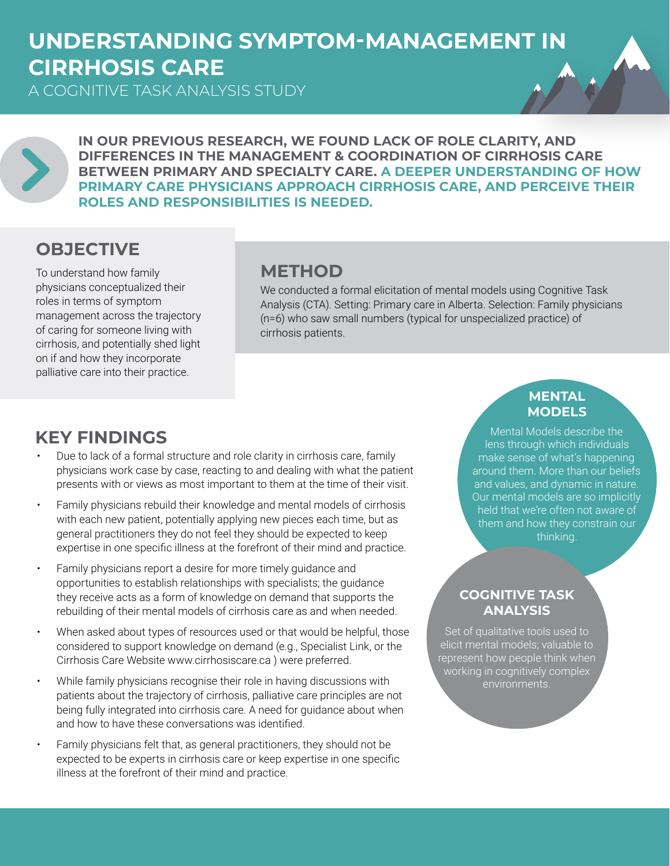# **UNDERSTANDING SYMPTOM-MANAGEMENT IN CIRRHOSIS CARE**

A COGNITIVE TASK ANALYSIS STUDY



**IN OUR PREVIOUS RESEARCH, WE FOUND LACK OF ROLE CLARITY, AND DIFFERENCES IN THE MANAGEMENT & COORDINATION OF CIRRHOSIS CARE BETWEEN PRIMARY AND SPECIALTY CARE. A DEEPER UNDERSTANDING OF HOW PRIMARY CARE PHYSICIANS APPROACH CIRRHOSIS CARE, AND PERCEIVE THEIR ROLES AND RESPONSIBILITIES IS NEEDED.**

## **OBJECTIVE**

To understand how family physicians conceptualized their roles in terms of symptom management across the trajectory of caring for someone living with cirrhosis, and potentially shed light on if and how they incorporate palliative care into their practice.

### **METHOD**

We conducted a formal elicitation of mental models using Cognitive Task Analysis (CTA). Setting: Primary care in Alberta. Selection: Family physicians (n=6) who saw small numbers (typical for unspecialized practice) of cirrhosis patients.

## **KEY FINDINGS**

- Due to lack of a formal structure and role clarity in cirrhosis care, family physicians work case by case, reacting to and dealing with what the patient presents with or views as most important to them at the time of their visit.
- Family physicians rebuild their knowledge and mental models of cirrhosis with each new patient, potentially applying new pieces each time, but as general practitioners they do not feel they should be expected to keep expertise in one specific illness at the forefront of their mind and practice.
- Family physicians report a desire for more timely guidance and opportunities to establish relationships with specialists; the guidance they receive acts as a form of knowledge on demand that supports the rebuilding of their mental models of cirrhosis care as and when needed.
- When asked about types of resources used or that would be helpful, those considered to support knowledge on demand (e.g., Specialist Link, or the Cirrhosis Care Website www.cirrhosiscare.ca ) were preferred.
- While family physicians recognise their role in having discussions with patients about the trajectory of cirrhosis, palliative care principles are not being fully integrated into cirrhosis care. A need for guidance about when and how to have these conversations was identified.
- Family physicians felt that, as general practitioners, they should not be expected to be experts in cirrhosis care or keep expertise in one specific illness at the forefront of their mind and practice.

#### **MENTAL MODELS**

Mental Models describe the lens through which individuals make sense of what's happening around them. More than our beliefs and values, and dynamic in nature. Our mental models are so implicitly held that we're often not aware of them and how they constrain our thinking.

#### **COGNITIVE TASK ANALYSIS**

Set of qualitative tools used to elicit mental models; valuable to represent how people think when working in cognitively complex environments.